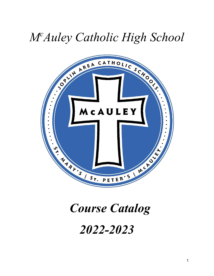## *M<sup>c</sup>Auley Catholic High School*



# *Course Catalog 2022-2023*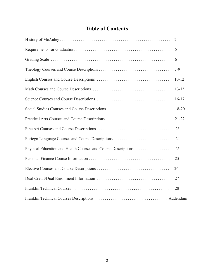## **Table of Contents**

| $\overline{2}$ |
|----------------|
| 5              |
| 6              |
| $7-9$          |
| $10 - 12$      |
| $13 - 15$      |
| $16-17$        |
| 18-20          |
| $21 - 22$      |
| 23             |
| 24             |
| 25             |
| 25             |
| 26             |
| 27             |
| 28             |
|                |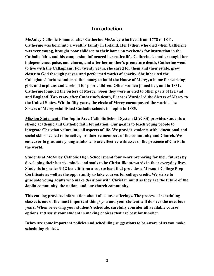#### **Introduction**

**McAuley Catholic is named after Catherine McAuley who lived from 1778 to 1841. Catherine was born into a wealthy family in Ireland. Her father, who died when Catherine was very young, brought poor children to their home on weekends for instruction in the Catholic faith, and his compassion influenced her entire life. Catherine's mother taught her independence, poise, and charm, and after her mother's premature death, Catherine went to live with the Callaghans. For twenty years, she cared for them and their estate, grew closer to God through prayer, and performed works of charity. She inherited the Callaghans' fortune and used the money to build the House of Mercy, a home for working girls and orphans and a school for poor children. Other women joined her, and in 1831, Catherine founded the Sisters of Mercy. Soon they were invited to other parts of Ireland and England. Two years after Catherine's death, Frances Warde led the Sisters of Mercy to the United States. Within fifty years, the circle of Mercy encompassed the world. The Sisters of Mercy established Catholic schools in Joplin in 1885.**

**Mission Statement: The Joplin Area Catholic School System (JACSS) provides students a strong academic and Catholic faith foundation. Our goal is to teach young people to integrate Christian values into all aspects of life. We provide students with educational and social skills needed to be active, productive members of the community and Church. We endeavor to graduate young adults who are effective witnesses to the presence of Christ in the world.**

**Students at McAuley Catholic High School spend four years preparing for their futures by developing their hearts, minds, and souls to be Christ-like stewards in their everyday lives. Students in grades 9-12 benefit from a course load that provides a Missouri College Prep Certificate as well as the opportunity to take courses for college credit. We strive to graduate young adults who make decisions with Christ in mind as they are the future of the Joplin community, the nation, and our church community.**

**This catalog provides information about all course offerings. The process of scheduling classes is one of the most important things you and your student will do over the next four years. When reviewing your student's schedule, carefully consider all available course options and assist your student in making choices that are best for him/her.**

**Below are some important policies and scheduling suggestions to be aware of as you make scheduling choices.**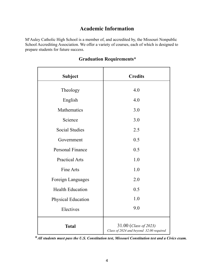## **Academic Information**

M<sup>c</sup>Auley Catholic High School is a member of, and accredited by, the Missouri Nonpublic School Accrediting Association. We offer a variety of courses, each of which is designed to prepare students for future success.

| <b>Subject</b>          | <b>Credits</b>                                                   |
|-------------------------|------------------------------------------------------------------|
| Theology                | 4.0                                                              |
| English                 | 4.0                                                              |
| Mathematics             | 3.0                                                              |
| Science                 | 3.0                                                              |
| <b>Social Studies</b>   | 2.5                                                              |
| Government              | 0.5                                                              |
| <b>Personal Finance</b> | 0.5                                                              |
| <b>Practical Arts</b>   | 1.0                                                              |
| Fine Arts               | 1.0                                                              |
| Foreign Languages       | 2.0                                                              |
| <b>Health Education</b> | 0.5                                                              |
| Physical Education      | 1.0                                                              |
| Electives               | 9.0                                                              |
| <b>Total</b>            | 31.00 (Class of 2023)<br>Class of 2024 and beyond 32.00 required |

### **Graduation Requirements\***

**\****All students must pass the U.S. Constitution test, Missouri Constitution test and a Civics exam.*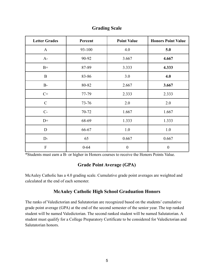| <b>Letter Grades</b> | Percent   | <b>Point Value</b> | <b>Honors Point Value</b> |
|----------------------|-----------|--------------------|---------------------------|
| $\mathbf{A}$         | 93-100    | 4.0                | 5.0                       |
| $A-$                 | 90-92     | 3.667              | 4.667                     |
| $B+$                 | 87-89     | 3.333              | 4.333                     |
| $\bf{B}$             | 83-86     | 3.0                | 4.0                       |
| $B-$                 | 80-82     | 2.667              | 3.667                     |
| $C+$                 | 77-79     | 2.333              | 2.333                     |
| $\mathcal{C}$        | $73 - 76$ | 2.0                | 2.0                       |
| $C-$                 | 70-72     | 1.667              | 1.667                     |
| $D+$                 | 68-69     | 1.333              | 1.333                     |
| D                    | 66-67     | 1.0                | 1.0                       |
| $D-$                 | 65        | 0.667              | 0.667                     |
| F                    | $0 - 64$  | $\boldsymbol{0}$   | $\boldsymbol{0}$          |

#### **Grading Scale**

\*Students must earn a B- or higher in Honors courses to receive the Honors Points Value.

#### **Grade Point Average (GPA)**

McAuley Catholic has a 4.0 grading scale. Cumulative grade point averages are weighted and calculated at the end of each semester.

#### **McAuley Catholic High School Graduation Honors**

The ranks of Valedictorian and Salutatorian are recognized based on the students' cumulative grade point average (GPA) at the end of the second semester of the senior year. The top ranked student will be named Valedictorian. The second ranked student will be named Salutatorian. A student must qualify for a College Preparatory Certificate to be considered for Valedictorian and Salutatorian honors.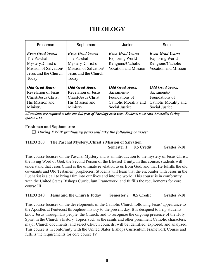## **THEOLOGY**

| Freshman                                                                                                              | Sophomore                                                                                                           | Junior                                                                                             | Senior                                                                                                 |
|-----------------------------------------------------------------------------------------------------------------------|---------------------------------------------------------------------------------------------------------------------|----------------------------------------------------------------------------------------------------|--------------------------------------------------------------------------------------------------------|
| <b>Even Grad Years:</b><br>The Paschal<br>Mystery. Christ's<br>Mission of Salvation/<br>Jesus and the Church<br>Today | <b>Even Grad Years:</b><br>The Paschal<br>MysteryChrist's<br>Mission of Salvation/<br>Jesus and the Church<br>Today | <b>Even Grad Years:</b><br><b>Exploring World</b><br>Religions/Catholic<br>Vocation and Mission    | <b>Even Grad Years:</b><br><b>Exploring World</b><br>Religions/Catholic<br><b>Vocation and Mission</b> |
| <b>Odd Grad Years:</b><br><b>Revelation of Jesus</b><br>Christ/Jesus Christ<br>His Mission and<br>Ministry            | <b>Odd Grad Years:</b><br>Revelation of Jesus<br>Christ/Jesus Christ<br>His Mission and<br>Ministry                 | <b>Odd Grad Years:</b><br>Sacraments/<br>Foundations of<br>Catholic Morality and<br>Social Justice | <b>Odd Grad Years:</b><br>Sacraments/<br>Foundations of<br>Catholic Morality and<br>Social Justice     |

All students are required to take one full year of Theology each year. Students must earn 4.0 credits during *grades 9-12.*

#### **Freshmen and Sophomores:**

*During EVEN graduating years will take the following courses:*

#### **THEO 200 The Paschal Mystery..Christ's Mission of Salvation Semester 1 0.5 Credit Grades 9-10**

This course focuses on the Paschal Mystery and is an introduction to the mystery of Jesus Christ, the living Word of God, the Second Person of the Blessed Trinity. In this course, students will understand that Jesus Christ is the ultimate revelation to us from God, and that He fulfills the old covenants and Old Testament prophecies. Students will learn that the encounter with Jesus in the Eucharist is a call to bring Him into our lives and into the world. This course is in conformity with the United States Bishops Curriculum Framework and fulfills the requirements for core course III.

#### **THEO 240 Jesus and the Church Today Semester 2 0.5 Credit Grades 9-10**

This course focuses on the developments of the Catholic Church following Jesus' appearance to the Apostles at Pentecost throughout history to the present day. It is designed to help students know Jesus through His people, the Church, and to recognize the ongoing presence of the Holy Spirit in the Church's history. Topics such as the saints and other prominent Catholic characters, major Church documents, and select Church councils, will be identified, explored, and analyzed. This course is in conformity with the United States Bishops Curriculum Framework Course and fulfills the requirements for core course IV.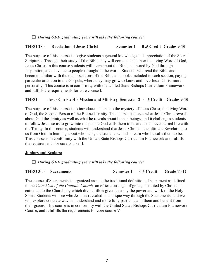#### *During ODD graduating years will take the following course:*

#### **THEO 280 Revelation of Jesus Christ Semester 1 0 .5 Credit Grades 9-10**

The purpose of this course is to give students a general knowledge and appreciation of the Sacred Scriptures. Through their study of the Bible they will come to encounter the living Word of God, Jesus Christ. In this course students will learn about the Bible, authored by God through Inspiration, and its value to people throughout the world. Students will read the Bible and become familiar with the major sections of the Bible and books included in each section, paying particular attention to the Gospels, where they may grow to know and love Jesus Christ more personally. This course is in conformity with the United State Bishops Curriculum Framework and fulfills the requirements for core course I.

#### **THEO Jesus Christ: His Mission and Ministry Semester 2 0 .5 Credit Grades 9-10**

The purpose of this course is to introduce students to the mystery of Jesus Christ, the living Word of God, the Second Person of the Blessed Trinity. The course discusses what Jesus Christ reveals about God the Trinity as well as what he reveals about human beings, and it challenges students to follow Jesus so as to grow into the people God calls them to be and to achieve eternal life with the Trinity. In this course, students will understand that Jesus Christ is the ultimate Revelation to us from God. In learning about who he is, the students will also learn who he calls them to be. This course is in conformity with the United State Bishops Curriculum Framework and fulfills the requirements for core course II.

#### **Juniors and Seniors:**

#### *During ODD graduating years will take the following course:*

#### **THEO 300 Sacraments Semester 1 0.5 Credit Grade 11-12**

The course of Sacraments is organized around the traditional definition of sacrament as defined in the *Catechism of the Catholic Church*- an efficacious sign of grace, instituted by Christ and entrusted to the Church, by which divine life is given to us by the power and work of the Holy Spirit. Students will see who Jesus is revealed in a unique way through the Sacraments, and we will explore concrete ways to understand and more fully participate in them and benefit from their graces. This course is in conformity with the United States Bishops Curriculum Framework Course, and it fulfills the requirements for core course V.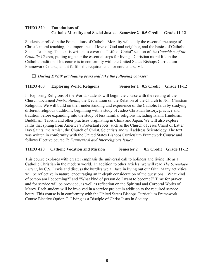#### **THEO 320 Foundations of Catholic Morality and Social Justice Semester 2 0.5 Credit Grade 11-12**

Students enrolled in the Foundations of Catholic Morality will study the essential message of Christ's moral teaching, the importance of love of God and neighbor, and the basics of Catholic Social Teaching. The text is written to cover the "Life of Christ" section of the *Catechism of the Catholic Church*, pulling together the essential steps for living a Christian moral life in the Catholic tradition. This course is in conformity with the United States Bishops Curriculum Framework Course, and it fulfills the requirements for core course VI.

#### *During EVEN graduating years will take the following courses:*

#### **THEO 400 Exploring World Religions Semester 1 0.5 Credit Grade 11-12**

In Exploring Religions of the World, students will begin the course with the reading of the Church document *Nostra Aetate*, the Declaration on the Relation of the Church to Non-Christian Religions. We will build on their understanding and experience of the Catholic faith by studying different religious traditions, beginning with a study of Judeo-Christian history, practice and tradition before expanding into the study of less familiar religions including Islam, Hinduism, Buddhism, Taoism and other practices originating in China and Japan. We will also explore faiths that sprang from America's Protestant roots, such as the Church of Jesus Christ of Latter Day Saints, the Amish, the Church of Christ, Scientists and will address Scientology. The text was written in conformity with the United States Bishops Curriculum Framework Course and follows Elective course E: *Ecumenical and Interreligious Issues*.

#### **THEO 420 Catholic Vocation and Mission Semester 2 0.5 Credit Grade 11-12**

This course explores with greater emphasis the universal call to holiness and living life as a Catholic Christian in the modern world. In addition to other articles, we will read *The Screwtape Letters*, by C.S. Lewis and discuss the hurdles we all face in living out our faith. Many activities will be reflective in nature, encouraging an in-depth consideration of the questions, "What kind of person am I becoming?" and "What kind of person do I want to become?" Time for prayer and for service will be provided, as well as reflection on the Spiritual and Corporal Works of Mercy. Each student will be involved in a service project in addition to the required service hours. This course is in conformity with the United States Bishops Curriculum Framework Course Elective Option C, Living as a Disciple of Christ Jesus in Society.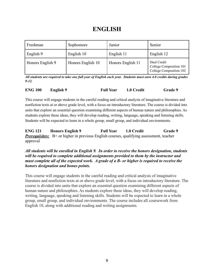## **ENGLISH**

| Freshman         | Sophomore         | Junior            | Senior                                                            |
|------------------|-------------------|-------------------|-------------------------------------------------------------------|
| English 9        | English 10        | English 11        | English 12                                                        |
| Honors English 9 | Honors English 10 | Honors English 11 | Dual Credit<br>College Composition 101<br>College Composition 102 |

All students are required to take one full year of English each year. Students must earn 4.0 credits during grades *9-12.*

| <b>ENG 100</b> | English 9 | <b>Full Year</b> | 1.0 Credit | <b>Grade 9</b> |
|----------------|-----------|------------------|------------|----------------|
|                |           |                  |            |                |

This course will engage students in the careful reading and critical analysis of imaginative literature and nonfiction texts at or above grade level, with a focus on introductory literature. The course is divided into units that explore an essential question examining different aspects of human nature and philosophies. As students explore these ideas, they will develop reading, writing, language, speaking and listening skills. Students will be expected to learn in a whole group, small group, and individual environments.

**ENG 121 Honors English 9 Full Year 1.0 Credit Grade 9** *Prerequisites:* B+ or higher in previous English courses, qualifying assessment, teacher approval

*All students will be enrolled in English 9. In order to receive the honors designation, students will be required to complete additional assignments provided to them by the instructor and must complete all of the expected work. A grade of a B- or higher is required to receive the honors designation and bonus points.*

This course will engage students in the careful reading and critical analysis of imaginative literature and nonfiction texts at or above grade level, with a focus on introductory literature. The course is divided into units that explore an essential question examining different aspects of human nature and philosophies. As students explore these ideas, they will develop reading, writing, language, speaking and listening skills. Students will be expected to learn in a whole group, small group, and individual environments. The course includes all coursework from English 10, along with additional reading and writing assignments.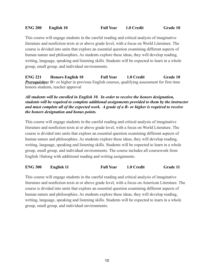This course will engage students in the careful reading and critical analysis of imaginative literature and nonfiction texts at or above grade level, with a focus on World Literature. The course is divided into units that explore an essential question examining different aspects of human nature and philosophies. As students explore these ideas, they will develop reading, writing, language, speaking and listening skills. Students will be expected to learn in a whole group, small group, and individual environments.

**ENG 221 Honors English 10 Full Year 1.0 Credit Grade 10 Prerequisites:** B+ or higher in previous English courses, qualifying assessment for first time honors students, teacher approval

#### *All students will be enrolled in English 10. In order to receive the honors designation, students will be required to complete additional assignments provided to them by the instructor and must complete all of the expected work. A grade of a B- or higher is required to receive the honors designation and bonus points.*

This course will engage students in the careful reading and critical analysis of imaginative literature and nonfiction texts at or above grade level, with a focus on World Literature. The course is divided into units that explore an essential question examining different aspects of human nature and philosophies. As students explore these ideas, they will develop reading, writing, language, speaking and listening skills. Students will be expected to learn in a whole group, small group, and individual environments. The course includes all coursework from English 10along with additional reading and writing assignments.

**ENG 300 English 11 Full Year 1.0 Credit Grade 11**

This course will engage students in the careful reading and critical analysis of imaginative literature and nonfiction texts at or above grade level, with a focus on American Literature. The course is divided into units that explore an essential question examining different aspects of human nature and philosophies. As students explore these ideas, they will develop reading, writing, language, speaking and listening skills. Students will be expected to learn in a whole group, small group, and individual environments.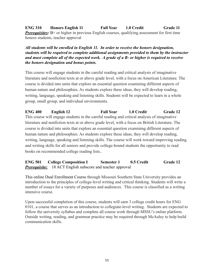**ENG 310 Honors English 11 Full Year 1.0 Credit Grade 11** *Prerequisites:* B+ or higher in previous English courses, qualifying assessment for first time honors students, teacher approval

*All students will be enrolled in English 11. In order to receive the honors designation, students will be required to complete additional assignments provided to them by the instructor and must complete all of the expected work. A grade of a B- or higher is required to receive the honors designation and bonus points.*

This course will engage students in the careful reading and critical analysis of imaginative literature and nonfiction texts at or above grade level, with a focus on American Literature. The course is divided into units that explore an essential question examining different aspects of human nature and philosophies. As students explore these ideas, they will develop reading, writing, language, speaking and listening skills. Students will be expected to learn in a whole group, small group, and individual environments.

**ENG 400 English 12 Full Year 1.0 Credit Grade 12** This course will engage students in the careful reading and critical analysis of imaginative literature and nonfiction texts at or above grade level, with a focus on British Literature. The course is divided into units that explore an essential question examining different aspects of human nature and philosophies. As students explore these ideas, they will develop reading, writing, language, speaking and listening skills. The course will work toward improving reading and writing skills for all seniors and provide college-bound students the opportunity to read books on recommended college reading lists..

**ENG 501 College Composition I Semester 1 0.5 Credit Grade 12 Prerequisite:** 18 ACT English subscore and teacher approval

This online Dual Enrollment Course through Missouri Southern State University provides an introduction to the principles of college-level writing and critical thinking. Students will write a number of essays for a variety of purposes and audiences. This course is classified as a writing intensive course.

Upon successful completion of this course, students will earn 3 college credit hours for ENG 0101, a course that serves as an introduction to collegiate-level writing. Students are expected to follow the university syllabus and complete all course work through MSSU's online platform. Outside writing, reading, and grammar practice may be required through McAuley to help build communication skills.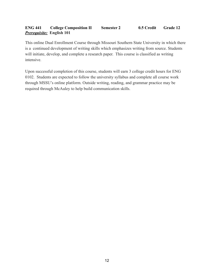#### **ENG 441 College Composition II Semester 2 0.5 Credit Grade 12** *Prerequisite:* **English 101**

This online Dual Enrollment Course through Missouri Southern State University in which there is a continued development of writing skills which emphasizes writing from source. Students will initiate, develop, and complete a research paper. This course is classified as writing intensive.

Upon successful completion of this course, students will earn 3 college credit hours for ENG 0102. Students are expected to follow the university syllabus and complete all course work through MSSU's online platform. Outside writing, reading, and grammar practice may be required through McAuley to help build communication skills.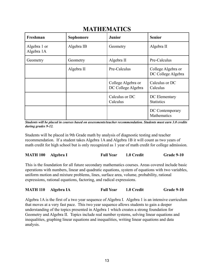| Freshman                   | Sophomore  | <b>Junior</b>                            | <b>Senior</b>                            |
|----------------------------|------------|------------------------------------------|------------------------------------------|
| Algebra 1 or<br>Algebra 1A | Algebra IB | Geometry                                 | Algebra II                               |
| Geometry                   | Geometry   | Algebra II                               | Pre-Calculus                             |
|                            | Algebra II | Pre-Calculus                             | College Algebra or<br>DC College Algebra |
|                            |            | College Algebra or<br>DC College Algebra | Calculus or DC<br>Calculus               |
|                            |            | Calculus or DC<br>Calculus               | DC Elementary<br><b>Statistics</b>       |
|                            |            |                                          | DC Contemporary<br>Mathematics           |

## **MATHEMATICS**

*Students will be placed in courses based on assessments/teacher recommendation. Students must earn 3.0 credits during grades 9-12.*

Students will be placed in 9th Grade math by analysis of diagnostic testing and teacher recommendation. If a student takes Algebra 1A and Algebra 1B it will count as two years of math credit for high school but is only recognized as 1 year of math credit for college admission.

| <b>MATH 100 Algebra I</b> | <b>Full Year</b> | 1.0 Credit | Grade 9-10 |
|---------------------------|------------------|------------|------------|
|                           |                  |            |            |

This is the foundation for all future secondary mathematics courses. Areas covered include basic operations with numbers, linear and quadratic equations, system of equations with two variables, uniform motion and mixture problems, lines, surface area, volume, probability, rational expressions, rational equations, factoring, and radical expressions.

| <b>MATH 110 Algebra IA</b> | <b>Full Year</b> | 1.0 Credit | Grade 9-10 |
|----------------------------|------------------|------------|------------|
|                            |                  |            |            |

Algebra 1A is the first of a two year sequence of Algebra I. Algebra 1 is an intensive curriculum that moves at a very fast pace. This two year sequence allows students to gain a deeper understanding of the topics presented in Algebra 1 which creates a strong foundation for Geometry and Algebra II. Topics include real number systems, solving linear equations and inequalities, graphing linear equations and inequalities, writing linear equations and data analysis.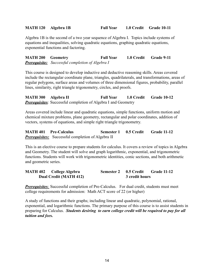#### **MATH 120 Algebra 1B Full Year 1.0 Credit Grade 10-11**

Algebra 1B is the second of a two year sequence of Algebra I. Topics include systems of equations and inequalities, solving quadratic equations, graphing quadratic equations, exponential functions and factoring.

**MATH 200 Geometry Full Year 1.0 Credit Grade 9-11** *Prerequisite: Successful completion of Algebra I*

This course is designed to develop inductive and deductive reasoning skills. Areas covered include the rectangular coordinate plane, triangles, quadrilaterals, and transformations, areas of regular polygons, surface areas and volumes of three dimensional figures, probability, parallel lines, similarity, right triangle trigonometry, circles, and proofs.

**MATH 300 Algebra II Full Year 1.0 Credit Grade 10-12** *Prerequisites:* Successful completion of Algebra I and Geometry

Areas covered include linear and quadratic equations, simple functions, uniform motion and chemical mixture problems, plane geometry, rectangular and polar coordinates, addition of vectors, systems of equations, and simple right triangle trigonometry.

**MATH 401 Pre-Calculus Semester 1 0.5 Credit Grade 11-12** *Prerequisites:* Successful completion of Algebra II

This is an elective course to prepare students for calculus. It covers a review of topics in Algebra and Geometry. The student will solve and graph logarithmic, exponential, and trigonometric functions. Students will work with trigonometric identities, conic sections, and both arithmetic and geometric series.

**MATH 402 College Algebra Semester 2 0.5 Credit Grade 11-12 Dual Credit (MATH 412) 3 credit hours**

*Prerequisites:* Successful completion of Pre-Calculus. For dual credit, students must meet college requirements for admission: Math ACT score of 22 (or higher)

A study of functions and their graphs; including linear and quadratic, polynomial, rational, exponential, and logarithmic functions. The primary purpose of this course is to assist students in preparing for Calculus. *Students desiring to earn college credit will be required to pay for all tuition and fees.*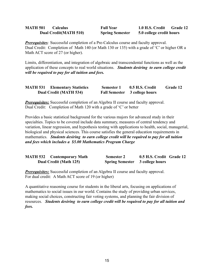| <b>MATH 501</b> | <b>Calculus</b>              | <b>Full Year</b>       | 1.0 H.S. Credit          | <b>Grade 12</b> |
|-----------------|------------------------------|------------------------|--------------------------|-----------------|
|                 | <b>Dual Credit(MATH 510)</b> | <b>Spring Semester</b> | 5.0 college credit hours |                 |

*Prerequisites:* Successful completion of a Pre-Calculus course and faculty approval. Dual Credit: Completion of Math 140 (or Math 130 or 135) with a grade of 'C' or higher OR a Math ACT score of 27 (or higher).

Limits, differentiation, and integration of algebraic and transcendental functions as well as the application of these concepts to real world situations. *Students desiring to earn college credit will be required to pay for all tuition and fees.*

| <b>MATH 531</b> | <b>Elementary Statistics</b>  | <b>Semester 1</b> | 0.5 H.S. Credit               | <b>Grade 12</b> |
|-----------------|-------------------------------|-------------------|-------------------------------|-----------------|
|                 | <b>Dual Credit (MATH 534)</b> |                   | Fall Semester 3 college hours |                 |

*Prerequisites:* Successful completion of an Algebra II course and faculty approval. Dual Credit: Completion of Math 120 with a grade of 'C' or better

Provides a basic statistical background for the various majors for advanced study in their specialties. Topics to be covered include data summary, measures of central tendency and variation, linear regression, and hypothesis testing with applications to health, social, managerial, biological and physical sciences. This course satisfies the general education requirements in mathematics. *Students desiring to earn college credit will be required to pay for all tuition and fees which includes a \$5.00 Mathematics Program Charge*

| <b>MATH 532 Contemporary Math</b> | <b>Semester 2</b>                      | 0.5 H.S. Credit Grade 12 |  |
|-----------------------------------|----------------------------------------|--------------------------|--|
| <b>Dual Credit (Math 125)</b>     | <b>Spring Semester</b> 3 college hours |                          |  |

*Prerequisites:* Successful completion of an Algebra II course and faculty approval. For dual credit: A Math ACT score of 19 (or higher)

A quantitative reasoning course for students in the liberal arts, focusing on applications of mathematics to social issues in our world. Contains the study of providing urban services, making social choices, constructing fair voting systems, and planning the fair division of resources. *Students desiring to earn college credit will be required to pay for all tuition and fees.*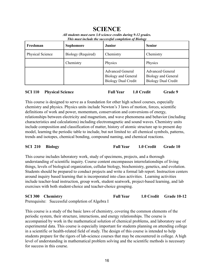## **SCIENCE**

|  | All students must earn 3.0 science credits during 9-12 grades. |  |
|--|----------------------------------------------------------------|--|
|  | This must include the successful completion of Biology         |  |
|  |                                                                |  |

| Freshman         | <b>Sophomore</b>   | Junior                                                                       | <b>Senior</b>                                                                |
|------------------|--------------------|------------------------------------------------------------------------------|------------------------------------------------------------------------------|
| Physical Science | Biology (Required) | Chemistry                                                                    | Chemistry                                                                    |
|                  | Chemistry          | Physics                                                                      | Physics                                                                      |
|                  |                    | <b>Advanced General</b><br>Biology and General<br><b>Biology Dual Credit</b> | <b>Advanced General</b><br>Biology and General<br><b>Biology Dual Credit</b> |

#### **SCI 110 Physical Science Full Year 1.0 Credit Grade 9**

This course is designed to serve as a foundation for other high school courses, especially chemistry and physics. Physics units include Newton's 3 laws of motion, forces, scientific definitions of work and power, momentum, conservation and conversions of energy, relationships between electricity and magnetism, and wave phenomena and behavior (including characteristics and calculations) including electromagnetic and sound waves. Chemistry units include composition and classification of matter, history of atomic structure up to present day model, learning the periodic table to include, but not limited to: all chemical symbols, patterns, trends and isotopes, chemical bonding, compound naming, and chemical reactions.

#### **SCI 210 Biology Full Year 1.0 Credit Grade 10**

This course includes laboratory work, study of specimens, projects, and a thorough understanding of scientific inquiry. Course content encompasses interrelationships of living things, levels of biological organization, cellular biology, biochemistry, genetics, and evolution. Students should be prepared to conduct projects and write a formal lab report. Instruction centers around inquiry based learning that is incorporated into class activities. Learning activities include teacher-lead instruction, group work, student seatwork, project-based learning, and lab exercises with both student-choice and teacher-choice grouping.

#### **SCI 300 Chemistry Full Year 1.0 Credit Grade 10-12** Prerequisite: Successful completion of Algebra I

This course is a study of the basic laws of chemistry, covering the common elements of the periodic system, their structure, interactions, and energy relationships. The course is accompanied by work in the mathematical solution of chemical problems, and laboratory use of experimental data. This course is especially important for students planning on attending college in a scientific or health-related field of study. The design of this course is intended to help students prepare for the rigors of lab-science courses that may be encountered in college. A high level of understanding in mathematical problem solving and the scientific methods is necessary for success in this course.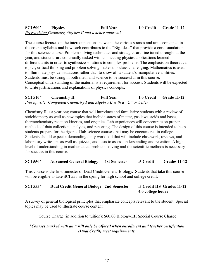#### **SCI 500\* Physics Full Year 1.0 Credit Grade 11-12** *Prerequisite: Geometry, Algebra II and teacher approval.*

The course focuses on the interconnections between the various strands and units contained in the course syllabus and how each contributes to the "Big Ideas" that provide a core foundation for this science course. Problem solving techniques and strategies are fine tuned throughout the year, and students are continually tasked with connecting physics applications learned in different units in order to synthesize solutions to complex problems. The emphasis on theoretical topics, critical thinking and problem solving makes this class challenging. Mathematics is used to illuminate physical situations rather than to show off a student's manipulative abilities. Students must be strong in both math and science to be successful in this course. Conceptual understanding of the material is a requirement for success. Students will be expected to write justifications and explanations of physics concepts.

**SCI 510\* Chemistry II Full Year 1.0 Credit Grade 11-12** *Prerequisite: Completed Chemistry I and Algebra II with a "C" or better.*

Chemistry II is a yearlong course that will introduce and familiarize students with a review of stoichiometry as well as new topics that include states of matter, gas laws, acids and bases, thermochemistry,reaction kinetics, and organics. Lab experiences will concentrate on proper methods of data collection, analysis, and reporting. The design of this course is intended to help students prepare for the rigors of lab-science courses that may be encountered in college. Students should expect a demanding daily workload that will include classwork, reviews, and laboratory write-ups as well as quizzes, and tests to assess understanding and retention. A high level of understanding in mathematical problem solving and the scientific methods is necessary for success in this course.

#### **SCI 550\* Advanced General Biology 1st Semester .5 Credit Grades 11-12**

This course is the first semester of Dual Credit General Biology. Students that take this course will be eligible to take SCI 555 in the spring for high school and college credit.

#### **SCI 555\* Dual Credit General Biology 2nd Semester .5 Credit HS Grades 11-12 4.0 college hours**

A survey of general biological principles that emphasize concepts relevant to the student. Special topics may be used to illustrate course content.

Course Charge (in addition to tuition): \$60.00 Biology/EH Special Course Charge

#### *\*Courses marked with an \* will only be offered when enrollment and teacher certification (Dual Credit) meet requirements.*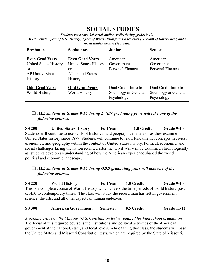## **SOCIAL STUDIES**

*Students must earn 3.0 social studies credits during grades 9-12.* Must include 1 year of U.S. History; 1 year of World History; and a semester ( $\frac{1}{2}$  credit) of Government, and a *social studies elective (½ credit).*

| Freshman                                                                                                  | Sophomore                                                                                                 | <b>Junior</b>                                              | <b>Senior</b>                                              |
|-----------------------------------------------------------------------------------------------------------|-----------------------------------------------------------------------------------------------------------|------------------------------------------------------------|------------------------------------------------------------|
| <b>Even Grad Years</b><br><b>United States History</b><br>or<br><b>AP United States</b><br><b>History</b> | <b>Even Grad Years</b><br><b>United States History</b><br>or<br><b>AP United States</b><br><b>History</b> | American<br>Government<br>Personal Finance                 | American<br>Government<br>Personal Finance                 |
| <b>Odd Grad Years</b><br>World History                                                                    | <b>Odd Grad Years</b><br>World History                                                                    | Dual Credit Intro to<br>Sociology or General<br>Psychology | Dual Credit Intro to<br>Sociology or General<br>Psychology |

#### *ALL students in Grades 9-10 during EVEN graduating years will take one of the following courses:*

**SS 200 United States History Full Year 1.0 Credit Grade 9-10** Students will continue to use skills of historical and geographical analysis as they examine United States history since 1877. Students will continue to learn fundamental concepts in civics, economics, and geography within the context of United States history. Political, economic, and social challenges facing the nation reunited after the Civil War will be examined chronologically as students develop an understanding of how the American experience shaped the world political and economic landscape.

#### *ALL students in Grades 9-10 during ODD graduating years will take one of the following courses:*

**SS 220 World History Full Year 1.0 Credit Grade 9-10** This is a complete course of World History which covers the time periods of world history post c.1450 to contemporary times. The class will study the record man has left in government, science, the arts, and all other aspects of human endeavor.

#### **SS 300 American Government Semester 0.5 Credit Grade 11-12**

*A passing grade on the Missouri/U.S. Constitution test is required for high school graduation.* The focus of this required course is the institutions and political activities of the American government at the national, state, and local levels. While taking this class, the students will pass the United States and Missouri Constitution tests, which are required by the State of Missouri.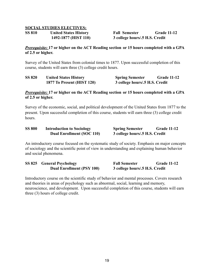#### **SOCIAL STUDIES ELECTIVES:**

| <b>SS 810</b> | <b>United States History</b> |
|---------------|------------------------------|
|               | 1492-1877 (HIST 110)         |

**SS 810 United States History Fall Semester Grade 11-12 1492-1877 (HIST 110) 3 college hours/.5 H.S. Credit**

#### *Prerequisite:* **17 or higher on the ACT Reading section or 15 hours completed with a GPA of 2.5 or higher.**

Survey of the United States from colonial times to 1877. Upon successful completion of this course, students will earn three (3) college credit hours.

| <b>SS 820</b> | <b>United States History</b> | <b>Spring Semester</b>         | <b>Grade 11-12</b> |
|---------------|------------------------------|--------------------------------|--------------------|
|               | 1877 To Present (HIST 120)   | 3 college hours/.5 H.S. Credit |                    |

#### *Prerequisite:* **17 or higher on the ACT Reading section or 15 hours completed with a GPA of 2.5 or higher.**

Survey of the economic, social, and political development of the United States from 1877 to the present. Upon successful completion of this course, students will earn three (3) college credit hours.

| <b>SS 800</b> | <b>Introduction to Sociology</b> | <b>Spring Semester</b>         | <b>Grade 11-12</b> |
|---------------|----------------------------------|--------------------------------|--------------------|
|               | <b>Dual Enrollment (SOC 110)</b> | 3 college hours/.5 H.S. Credit |                    |

An introductory course focused on the systematic study of society. Emphasis on major concepts of sociology and the scientific point of view in understanding and explaining human behavior and social phenomena.

| SS 825 General Psychology        | <b>Fall Semester</b>           | <b>Grade 11-12</b> |
|----------------------------------|--------------------------------|--------------------|
| <b>Dual Enrollment (PSY 100)</b> | 3 college hours/.5 H.S. Credit |                    |

Introductory course on the scientific study of behavior and mental processes. Covers research and theories in areas of psychology such as abnormal, social, learning and memory, neuroscience, and development. Upon successful completion of this course, students will earn three (3) hours of college credit.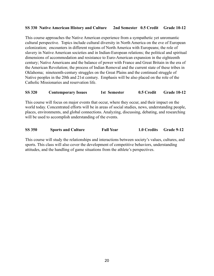#### **SS 330 Native American History and Culture 2nd Semester 0.5 Credit Grade 10-12**

This course approaches the Native American experience from a sympathetic yet unromantic cultural perspective. Topics include cultural diversity in North America on the eve of European colonization; encounters in different regions of North America with Europeans; the role of slavery in Native American societies and in Indian-European relations; the political and spiritual dimensions of accommodation and resistance to Euro-American expansion in the eighteenth century; Native Americans and the balance of power with France and Great Britain in the era of the American Revolution; the process of Indian Removal and the current state of these tribes in Oklahoma; nineteenth-century struggles on the Great Plains and the continued struggle of Native peoples in the 20th and 21st century. Emphasis will be also placed on the role of the Catholic Missionaries and reservation life.

#### **SS 320 Contemporary Issues 1st Semester 0.5 Credit Grade 10-12**

This course will focus on major events that occur, where they occur, and their impact on the world today. Concentrated efforts will be in areas of social studies, news, understanding people, places, environments, and global connections. Analyzing, discussing, debating, and researching will be used to accomplish understanding of the events.

| <b>SS 350</b> | <b>Sports and Culture</b> | <b>Full Year</b> | 1.0 Credits Grade 9-12 |  |
|---------------|---------------------------|------------------|------------------------|--|

This course will study the relationships and interactions between society's values, cultures, and sports. This class will also cover the development of competitive behaviors, understanding attitudes, and the handling of game situations from the athlete's perspectives.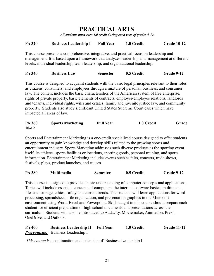## **PRACTICALARTS**

*All students must earn 1.0 credit during each year of grades 9-12.*

#### **PA 320 Business Leadership I Full Year 1.0 Credit Grade 10-12**

This course presents a comprehensive, integrative, and practical focus on leadership and management. It is based upon a framework that analyzes leadership and management at different levels: individual leadership, team leadership, and organizational leadership.

**PA 340 Business Law Semester 0.5 Credit Grade 9-12**

This course is designed to acquaint students with the basic legal principles relevant to their roles as citizens, consumers, and employees through a mixture of personal, business, and consumer law. The content includes the basic characteristics of the American system of free enterprise, rights of private property, basic elements of contracts, employer-employee relations, landlords and tenants, individual rights, wills and estates, family and juvenile justice law, and community property. Students also study significant United States Supreme Court cases which have impacted all areas of law.

#### **PA 360 Sports Marketing Full Year 1.0 Credit Grade 10-12**

Sports and Entertainment Marketing is a one-credit specialized course designed to offer students an opportunity to gain knowledge and develop skills related to the growing sports and entertainment industry. Sports Marketing addresses such diverse products as the sporting event itself, its athletes, sports facilities or locations, sporting goods, personal training, and sports information. Entertainment Marketing includes events such as fairs, concerts, trade shows, festivals, plays, product launches, and causes

| <b>PA 380</b><br><b>Multimedia</b><br>0.5 Credit<br><b>Semester</b> | Grade 9-12 |
|---------------------------------------------------------------------|------------|
|---------------------------------------------------------------------|------------|

This course is designed to provide a basic understanding of computer concepts and applications. Topics will include essential concepts of computers, the internet, software basics, multimedia, files and storage, ethics, safety and current trends. The students will learn applications for word processing, spreadsheets, file organization, and presentation graphics in the Microsoft environment using Word, Excel and Powerpoint. Skills taught in this course should prepare each student for efficient preparation of high school documents and presentations across the curriculum. Students will also be introduced to Audacity, Moviemaker, Animation, Prezi, OneDrive, and Outlook.

| <b>PA 400</b> | <b>Business Leadership II</b>              | <b>Full Year</b> | 1.0 Credit | <b>Grade 11-12</b> |
|---------------|--------------------------------------------|------------------|------------|--------------------|
|               | <b>Prerequisite:</b> Business Leadership I |                  |            |                    |

*This course is* a continuation and extension of Business Leadership I.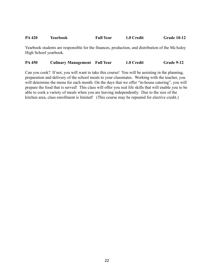#### **PA 420 Yearbook Full Year 1.0 Credit Grade 10-12**

Yearbook students are responsible for the finances, production, and distribution of the McAuley High School yearbook.

**PA 450 Culinary Management Full Year 1.0 Credit Grade 9-12**

Can you cook? If not, you will want to take this course! You will be assisting in the planning, preparation and delivery of the school meals to your classmates. Working with the teacher, you will determine the menu for each month. On the days that we offer "in-house catering", you will prepare the food that is served! This class will offer you real life skills that will enable you to be able to cook a variety of meals when you are leaving independently. Due to the size of the kitchen area, class enrollment is limited! (This course may be repeated for elective credit.)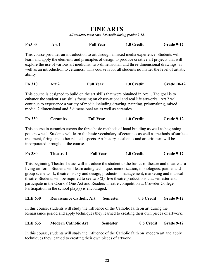## **FINE ARTS**

*All students must earn 1.0 credit during grades 9-12.*

| <b>FA300</b> | Art 1 | <b>Full Year</b>                                                                                                                                                                                                                                                                                       | 1.0 Credit | Grade 9-12 |
|--------------|-------|--------------------------------------------------------------------------------------------------------------------------------------------------------------------------------------------------------------------------------------------------------------------------------------------------------|------------|------------|
|              |       | This course provides an introduction to art through a mixed media experience. Students will                                                                                                                                                                                                            |            |            |
| ability.     |       | learn and apply the elements and principles of design to produce creative art projects that will<br>explore the use of various art mediums, two-dimensional, and three-dimensional drawings as<br>well as an introduction to ceramics. This course is for all students no matter the level of artistic |            |            |

| <b>FA 310</b> | Art 2 | <b>Full Year</b> | 1.0 Credit | <b>Grade 10-12</b> |
|---------------|-------|------------------|------------|--------------------|
|               |       |                  |            |                    |

This course is designed to build on the art skills that were obtained in Art 1. The goal is to enhance the student's art skills focusing on observational and real life artworks. Art 2 will continue to experience a variety of media including drawing, painting, printmaking, mixed media, 2 dimensional and 3 dimensional art as well as ceramics.

| <b>FA 330</b> | <b>Ceramics</b> | <b>Full Year</b> | 1.0 Credit | Grade 9-12 |
|---------------|-----------------|------------------|------------|------------|
|               |                 |                  |            |            |

This course in ceramics covers the three basic methods of hand building as well as beginning potters wheel. Students will learn the basic vocabulary of ceramics as well as methods of surface treatment, firing, and other related aspects. Art history, aesthetics and art criticism will be incorporated throughout the course.

| <b>FA 380</b> | <b>Theatre I</b> | <b>Full Year</b> | 1.0 Credit | Grade 9-12 |
|---------------|------------------|------------------|------------|------------|
|               |                  |                  |            |            |

This beginning Theatre 1 class will introduce the student to the basics of theatre and theatre as a living art form. Students will learn acting technique, memorization, monologues, partner and group scene work, theatre history and design, production management, marketing and musical theatre. Students will be required to see two (2) live theatre productions that semester and participate in the Ozark 8 One-Act and Readers Theatre competition at Crowder College. Participation in the school play(s) is encouraged.

#### **ELE 630 Renaissance Catholic Art Semester 0.5 Credit Grade 9-12**

In this course, students will study the influence of the Catholic faith on art during the Renaissance period and apply techniques they learned to creating their own pieces of artwork.

| <b>ELE 635</b> | <b>Modern Catholic Art</b> | <b>Semester</b> | 0.5 Credit Grade 9-12 |
|----------------|----------------------------|-----------------|-----------------------|
|                |                            |                 |                       |

In this course, students will study the influence of the Catholic faith on modern art and apply techniques they learned to creating their own pieces of artwork.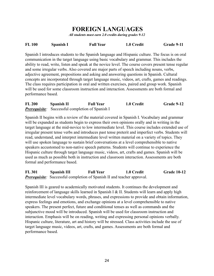## **FOREIGN LANGUAGES**

*All students must earn 2.0 credits during grades 9-12*

#### **FL 100 Spanish I Full Year 1.0 Credit Grade 9-11**

Spanish I introduces students to the Spanish language and Hispanic culture. The focus is on oral communication in the target language using basic vocabulary and grammar. This includes the ability to read, write, listen and speak at the novice level. The course covers present tense regular and some irregular verbs. Also covered are major parts of speech including nouns, verbs, adjective agreement, prepositions and asking and answering questions in Spanish. Cultural concepts are incorporated through target language music, videos, art, crafts, games and readings. The class requires participation in oral and written exercises, paired and group work. Spanish will be used for some classroom instruction and interaction. Assessments are both formal and performance based.

| <b>FL 200</b> | Spanish II | <b>Full Year</b>                                        | 1.0 Credit | Grade 9-12 |
|---------------|------------|---------------------------------------------------------|------------|------------|
|               |            | <b>Prerequisite:</b> Successful completion of Spanish I |            |            |

Spanish II begins with a review of the material covered in Spanish I. Vocabulary and grammar will be expanded as students begin to express their own opinions orally and in writing in the target language at the mid-novice to low intermediate level. This course includes extended use of irregular present tense verbs and introduces past tense preterit and imperfect verbs. Students will read, understand, and interpret intermediate level written material on a variety of topics. They will use spoken language to sustain brief conversations at a level comprehensible to native speakers accustomed to non-native speech patterns. Students will continue to experience the Hispanic culture through target language music, videos, art, crafts and games. Spanish will be used as much as possible both in instruction and classroom interaction. Assessments are both formal and performance based.

**FL 301 Spanish III Full Year 1.0 Credit Grade 10-12** *Prerequisite:* Successful completion of Spanish II and teacher approval.

Spanish III is geared to academically motivated students. It continues the development and reinforcement of language skills learned in Spanish I & II. Students will learn and apply high intermediate level vocabulary words, phrases, and expressions to provide and obtain information, express feelings and emotions, and exchange opinions at a level comprehensible to native speakers. The present perfect, future and conditional tenses as well as commands and the subjunctive mood will be introduced. Spanish will be used for classroom instruction and interaction. Emphasis will be on reading, writing and expressing personal opinions verbally. Hispanic culture, literature, art and history will be stressed. Class activities include the use of target language music, videos, art, crafts, and games. Assessments are both formal and performance based.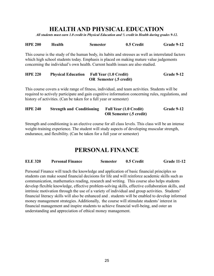## **HEALTH AND PHYSICAL EDUCATION**

*All students must earn 1.0 credit in Physical Education and ½ credit in Health during grades 9-12.*

| <b>HPE 200</b> | Health | <b>Semester</b> | 0.5 Credit | Grade 9-12 |
|----------------|--------|-----------------|------------|------------|
|                |        |                 |            |            |

This course is the study of the human body, its habits and stresses as well as interrelated factors which high school students today. Emphasis is placed on making mature value judgements concerning the individual's own health. Current health issues are also studied.

#### **HPE 220 Physical Education Full Year (1.0 Credit) Grade 9-12 OR Semester (.5 credit)**

This course covers a wide range of fitness, individual, and team activities. Students will be required to actively participate and gain cognitive information concerning rules, regulations, and history of activities. (Can be taken for a full year or semester)

#### **HPE 240 Strength and Conditioning Full Year (1.0 Credit) Grade 9-12 OR Semester (.5 credit)**

Strength and conditioning is an elective course for all class levels. This class will be an intense weight-training experience. The student will study aspects of developing muscular strength, endurance, and flexibility. (Can be taken for a full year or semester)

## **PERSONAL FINANCE**

| <b>ELE 320</b><br><b>Personal Finance</b> | <b>Semester</b> | 0.5 Credit | <b>Grade 11-12</b> |
|-------------------------------------------|-----------------|------------|--------------------|
|-------------------------------------------|-----------------|------------|--------------------|

Personal Finance will teach the knowledge and application of basic financial principles so students can make sound financial decisions for life and will reinforce academic skills such as communication, mathematics reading, research and writing. This course also helps students develop flexible knowledge, effective problem-solving skills, effective collaboration skills, and intrinsic motivation through the use of a variety of individual and group activities. Students' financial literacy skills will also be enhanced and . students will be enabled to develop informed money management strategies. Additionally, the course will stimulate students' interest in financial management and inspire students to achieve financial well-being, and oster an understanding and appreciation of ethical money management.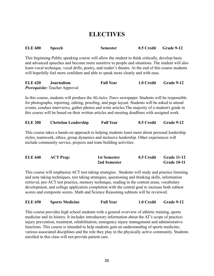## **ELECTIVES**

| <b>ELE 600</b> | <b>Speech</b> | <b>Semester</b> | 0.5 Credit Grade 9-12 |  |
|----------------|---------------|-----------------|-----------------------|--|
|                |               |                 |                       |  |

This beginning Public speaking course will allow the student to think critically, develop basic and advanced speeches and become more sensitive to people and situations. The student will also learn vocal technique, vocal drills, poetry, and reader's theatre. At the end of this course students will hopefully feel more confident and able to speak more clearly and with ease.

| <b>ELE 620</b> | <b>Journalism</b>                     | <b>Full Year</b> | 1.0 Credit | <b>Grade 9-12</b> |
|----------------|---------------------------------------|------------------|------------|-------------------|
|                | <i>Prerequisite:</i> Teacher Approval |                  |            |                   |

In this course, students will produce the *McAuley Times n*ewspaper. Students will be responsible for photographs, reporting, editing, proofing, and page layout. Students will be asked to attend events, conduct interviews, gather photos and write articles.The majority of a student's grade in this course will be based on their written articles and meeting deadlines with assigned work.

| <b>ELE 200</b> | <b>Christian Leadership</b> | <b>Full Year</b> | 0.5 Credit | <b>Grade 9-12</b> |
|----------------|-----------------------------|------------------|------------|-------------------|
|                |                             |                  |            |                   |

This course takes a hands-on approach to helping students learn more about personal leadership styles, teamwork, ethics, group dynamics and inclusive leadership. Other experiences will include community service, projects and team building activities.

| <b>ELE 640</b> | <b>ACT Prep:</b> | 1st Semester | 0.5 Credit | <b>Grade 11-12</b> |
|----------------|------------------|--------------|------------|--------------------|
|                |                  | 2nd Semester |            | <b>Grade 10-11</b> |

This course will emphasize ACT test-taking strategies. Students will study and practice listening and note taking techniques, test taking strategies, questioning and thinking skills, information retrieval, pre-ACT test practice, memory technique, reading in the content areas, vocabulary development, and college application completion with the central goal to increase both subtest scores and composite scores. Math and Science Reasoning subtests will be reviewed.

|  | <b>ELE 650</b> | <b>Sports Medicine</b> | <b>Full Year</b> | 1.0 Credit | <b>Grade 9-12</b> |
|--|----------------|------------------------|------------------|------------|-------------------|
|--|----------------|------------------------|------------------|------------|-------------------|

This course provides high school students with a general overview of athletic training, sports medicine and its history. It includes introductory information about the AT's scope of practice: injury prevention, treatment, rehabilitation, emergency injury management and administrative functions. This course is intended to help students gain an understanding of sports medicine, various associated disciplines and the role they play in the physically active community. Students enrolled in this class will not provide patient care.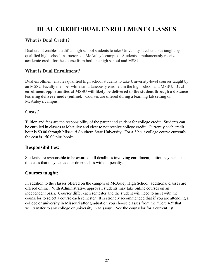## **DUAL CREDIT/DUAL ENROLLMENT CLASSES**

#### **What is Dual Credit?**

Dual credit enables qualified high school students to take University-level courses taught by qualified high school instructors on McAuley's campus. Students simultaneously receive academic credit for the course from both the high school and MSSU.

#### **What is Dual Enrollment?**

Dual enrollment enables qualified high school students to take University-level courses taught by an MSSU Faculty member while simultaneously enrolled in the high school and MSSU. **Dual enrollment opportunities at MSSU will likely be delivered to the student through a distance learning delivery mode (online).** Courses are offered during a learning lab setting on McAuley's campus.

#### **Costs?**

Tuition and fees are the responsibility of the parent and student for college credit. Students can be enrolled in classes at McAuley and elect to not receive college credit. Currently each credit hour is 50.00 through Missouri Southern State University. For a 3 hour college course currently the cost is 150.00 plus books.

#### **Responsibilities:**

Students are responsible to be aware of all deadlines involving enrollment, tuition payments and the dates that they can add or drop a class without penalty.

#### **Courses taught:**

In addition to the classes offered on the campus of McAuley High School, additional classes are offered online. With Administrative approval, students may take online courses on an independent basis. Courses differ each semester and the student will need to meet with the counselor to select a course each semester. It is strongly recommended that if you are attending a college or university in Missouri after graduation you choose classes from the "Core 42" that will transfer to any college or university in Missouri. See the counselor for a current list.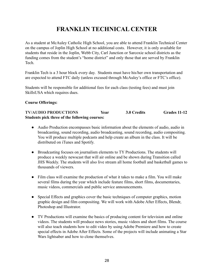## **FRANKLIN TECHNICAL CENTER**

As a student at McAuley Catholic High School, you are able to attend Franklin Technical Center on the campus of Joplin High School at no additional costs. However, it is only available for students that reside in the Joplin, Webb City, Carl Junction or Sarcoxie school districts as the funding comes from the student's "home district" and only those that are served by Franklin Tech.

Franklin Tech is a 3 hour block every day. Students must have his/her own transportation and are expected to attend FTC daily (unless excused through McAuley's office or FTC's office).

Students will be responsible for additional fees for each class (testing fees) and must join SkillsUSA which requires dues.

#### **Course Offerings:**

**TV/AUDIO PRODUCTIONS Year 3.0 Credits Grades 11-12 Students pick three of the following courses:**

- Audio Production encompasses basic information about the elements of audio, audio in broadcasting, sound recording, audio broadcasting, sound recording, audio compositing. You will produce multiple podcasts and help create an album in the class. It will be distributed on iTunes and Spotify.
- Broadcasting focuses on journalism elements to TY Productions. The students will produce a weekly newscast that will air online and be shown during Transition called JHS Weekly. The students will also live stream all home football and basketball games to thousands of viewers.
- Film class will examine the production of what it takes to make a film. You will make several films during the year which include feature films, short films, documentaries, music videos, commercials and public service announcements.
- Special Effects and graphics cover the basic techniques of computer graphics, motion graphic design and film compositing. We will work with Adobe After Effects, Blendr, Photoshop and Illustrator.
- TV Productions will examine the basics of producing content for television and online videos. The students will produce news stories, music videos and short films. The course will also teach students how to edit video by using Adobe Premiere and how to create special effects in Adobe After Effects. Some of the projects will include animating a Star Wars lightsaber and how to clone themselves.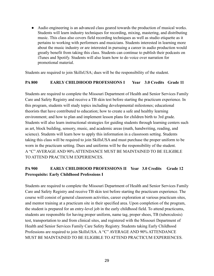● Audio engineering is an advanced class geared towards the production of musical works. Students will learn industry techniques for recording, mixing, mastering, and distributing music. This class also covers field recording techniques as well as studio etiquette as it pertains to working with performers and musicians. Students interested in learning more about the music industry or are interested in pursuing a career in audio production would greatly benefit from taking this class. Students can continue to publish their podcasts on iTunes and Spotify. Students will also learn how to do voice over narration for promotional material.

Students are required to join SkillsUSA; dues will be the responsibility of the student.

#### **PA 800 EARLY CHILDHOOD PROFESSIONS I Year 3.0 Credits Grade 11**

Students are required to complete the Missouri Department of Health and Senior Services Family Care and Safety Registry and receive a TB skin test before starting the practicum experience. In this program, students will study topics including developmental milestones; educational theorists that have contributed to education; how to create a safe and healthy learning environment; and how to plan and implement lesson plans for children birth to 3rd grade. Students will also learn instructional strategies for guiding students through learning centers such as art, block building, sensory, music, and academic areas (math, handwriting, reading, and science). Students will learn how to apply this information in a classroom setting. Students taking this class will be required to join SkillsUSA and must purchase the proper uniform to be worn in the practicum setting. Dues and uniforms will be the responsibility of the student. A "C" AVERAGE AND 90% ATTENDANCE MUST BE MAINTAINED TO BE ELIGIBLE TO ATTEND PRACTICUM EXPERIENCES.

#### **PA 900 EARLY CHILDHOOD PROFESSIONS II Year 3.0 Credits Grade 12 Prerequisite: Early Childhood Professions I**

Students are required to complete the Missouri Department of Health and Senior Services Family Care and Safety Registry and receive TB skin test before starting the practicum experience. The course will consist of general classroom activities, career exploration at various practicum sites, and mentor training at a practicum site in their specified area. Upon completion of the program, the student is prepared for an entry-level job in the early childhood field. To attend practicums, students are responsible for having proper uniform, name tag, proper shoes, TB (tuberculosis) test, transportation to and from clinical sites, and registered with the Missouri Department of Health and Senior Services Family Care Safety Registry. Students taking Early Childhood Professions are required to join SkillsUSA. A "C" AVERAGE AND 90% ATTENDANCE MUST BE MAINTAINED TO BE ELIGIBLE TO ATTEND PRACTICUM EXPERIENCES.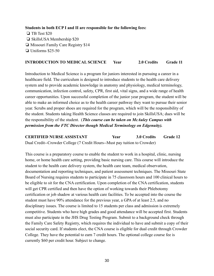**Students in both ECP I and II are responsible for the following fees:**

❏ TB Test \$20 ❏ SkillsUSA Membership \$20 ❏ Missouri Family Care Registry \$14 ❏ Uniforms \$25-50

#### **INTRODUCTION TO MEDICAL SCIENCE Year 2.0 Credits Grade 11**

Introduction to Medical Science is a program for juniors interested in pursuing a career in a healthcare field. The curriculum is designed to introduce students to the health care delivery system and to provide academic knowledge in anatomy and physiology, medical terminology, communication, infection control, safety, CPR, first aid, vital signs, and a wide range of health career opportunities. Upon successful completion of the junior year program, the student will be able to make an informed choice as to the health career pathway they want to pursue their senior year. Scrubs and proper shoes are required for the program, which will be the responsibility of the student. Students taking Health Science classes are required to join SkillsUSA; dues will be the responsibility of the student. (*This course can be taken on McAuley Campus with permission from the FTC Director though Medical Terminology on Edgenuity).*

#### **CERTIFIED NURSE ASSISTANT Year 3.0 Credits Grade 12** Dual Credit--Crowder College (7 Credit Hours--Must pay tuition to Crowder)

This course is a preparatory course to enable the student to work in a hospital, clinic, nursing home, or home health care setting, providing basic nursing care. This course will introduce the student to the health care delivery system, the health care team, medical observation, documentation and reporting techniques, and patient assessment techniques. The Missouri State Board of Nursing requires students to participate in 75 classroom hours and 100 clinical hours to be eligible to sit for the CNA certification. Upon completion of the CNA certification, students will get CPR certified and then have the option of working towards their Phlebotomy certification or job shadow at various health care facilities. To be accepted into the course the student must have 90% attendance for the previous year, a GPA of at least 2.5, and no disciplinary issues. The course is limited to 15 students per class and admission is extremely competitive. Students who have high grades and good attendance will be accepted first. Students must also participate in the JHS Drug Testing Program. Submit to a background check through the Family Care Safety Registry, which requires the individual to have and submit a copy of their social security card. If students elect, the CNA course is eligible for dual credit through Crowder College. They have the potential to earn 7 credit hours. The optional college course fee is currently \$60 per credit hour. Subject to change.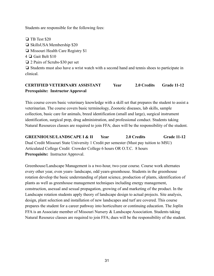Students are responsible for the following fees:

❏ TB Test \$20 ❏ SkillsUSA Membership \$20 ❏ Missouri Health Care Registry \$1 4 ❏ Gait Belt \$10 ❏ 2 Pairs of Scrubs-\$30 per set ❏ Students must also have a wrist watch with a second hand and tennis shoes to participate in clinical.

#### **CERTIFIED VETERINARY ASSISTANT Year 2.0 Credits Grade 11-12 Prerequisite: Instructor Approval**

This course covers basic veterinary knowledge with a skill set that prepares the student to assist a veterinarian. The course covers basic terminology, Zoonotic diseases, lab skills, sample collection, basic care for animals, breed identification (small and large), surgical instrument identification, surgical prep, drug administration, and professional conduct. Students taking Natural Resources classes are required to join FFA; dues will be the responsibility of the student.

**GREENHOUSE/LANDSCAPE I & II Year 2.0 Credits Grade 11-12** Dual Credit Missouri State University 1 Credit per semester (Must pay tuition to MSU) Articulated College Credit Crowder College 6 hours OR O.T.C. 8 hours **Prerequisite:** Instructor Approval.

Greenhouse/Landscape Management is a two-hour, two-year course. Course work alternates every other year, even years- landscape, odd years-greenhouse. Students in the greenhouse rotation develop the basic understanding of plant science, production of plants, identification of plants as well as greenhouse management techniques including energy management, construction, asexual and sexual propagation, growing of and marketing of the product. In the Landscape rotation students apply theory of landscape design to actual projects. Site analysis, design, plant selection and installation of new landscapes and turf are covered. This course prepares the student for a career pathway into horticulture or continuing education. The Joplin FFA is an Associate member of Missouri Nursery & Landscape Association. Students taking Natural Resource classes are required to join FFA; dues will be the responsibility of the student.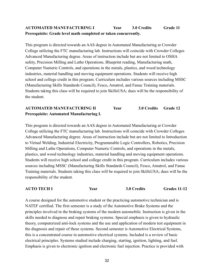#### **AUTOMATED MANUFACTURING I Year 3.0 Credits Grade 11 Prerequisite: Grade level math completed or taken concurrently.**

This program is directed towards an AAS degree in Automated Manufacturing at Crowder College utilizing the FTC manufacturing lab. Instructions will coincide with Crowder Colleges Advanced Manufacturing degree. Areas of instruction include but are not limited to OSHA safety, Precision Milling and Lathe Operations, Blueprint reading, Manufacturing math, Computer Numeric Controls, and operations in the metals, plastics, and wood technology industries, material handling and moving equipment operations. Students will receive high school and college credit in this program. Curriculum includes various sources including MSSC (Manufacturing Skills Standards Council), Fesco, Amatrol, and Fanuc Training materials. Students taking this class will be required to join SkillsUSA; dues will be the responsibility of the student.

#### **AUTOMATED MANUFACTURING II Year 3.0 Credits Grade 12 Prerequisite: Automated Manufacturing I.**

This program is directed towards an AAS degree in Automated Manufacturing at Crowder College utilizing the FTC manufacturing lab. Instructions will coincide with Crowder Colleges Advanced Manufacturing degree. Areas of instruction include but are not limited to Introduction to Virtual Welding, Industrial Electricity, Programmable Logic Controllers, Robotics, Precision Milling and Lathe Operations, Computer Numeric Controls, and operations in the metals, plastics, and wood technology industries, material handling and moving equipment operations. Students will receive high school and college credit in this program. Curriculum includes various sources including MSSC (Manufacturing Skills Standards Council), Fesco, Amatrol, and Fanuc Training materials. Students taking this class will be required to join SkillsUSA; dues will be the responsibility of the student.

**AUTO TECH I Year 3.0 Credits Grades 11-12**

A course designed for the automotive student or the practicing automotive technician and is NATEF certified. The first semester is a study of the Automotive Brake Systems and the principles involved in the braking systems of the modern automobile. Instruction is given in the skills needed to diagnose and repair braking systems. Special emphasis is given to hydraulic theory, computerized anti-lock systems and the use and application of modern test equipment in the diagnosis and repair of these systems. Second semester is Automotive Electrical Systems, this is a concentrated course in automotive electrical systems. Included is a review of basic electrical principles. Systems studied include charging, starting, ignition, lighting, and fuel. Emphasis is given to electronic ignition and electronic fuel injection. Practice is provided with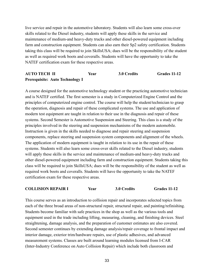live service and repair in the automotive laboratory. Students will also learn some cross-over skills related to the Diesel industry, students will apply these skills in the service and maintenance of medium-and heavy-duty trucks and other diesel-powered equipment including farm and construction equipment. Students can also earn their Sp2 safety certification. Students taking this class will be required to join SkillsUSA; dues will be the responsibility of the student as well as required work boots and coveralls. Students will have the opportunity to take the NATEF certification exam for these respective areas.

#### **AUTO TECH II Year 3.0 Credits Grades 11-12 Prerequisite: Auto Technology I**

A course designed for the automotive technology student or the practicing automotive technician and is NATEF certified. The first semester is a study in Computerized Engine Control and the principles of computerized engine control. The course will help the student/technician to grasp the operation, diagnosis and repair of these complicated systems. The use and application of modern test equipment are taught in relation to their use in the diagnosis and repair of these systems. Second Semester is Automotive Suspension and Steering. This class is a study of the principles involved in the steering and suspension mechanisms of the modern automobile. Instruction is given in the skills needed to diagnose and repair steering and suspension components, replace steering and suspension system components and alignment of the wheels. The application of modern equipment is taught in relation to its use in the repair of these systems. Students will also learn some cross-over skills related to the Diesel industry, students will apply these skills in the service and maintenance of medium-and heavy-duty trucks and other diesel-powered equipment including farm and construction equipment. Students taking this class will be required to join SkillsUSA; dues will be the responsibility of the student as well as required work boots and coveralls. Students will have the opportunity to take the NATEF certification exam for these respective areas.

#### **COLLISION REPAIR I Year 3.0 Credits Grades 11-12**

This course serves as an introduction to collision repair and incorporates selected topics from each of the three broad areas of non-structural repair, structural repair, and painting/refinishing. Students become familiar with safe practices in the shop as well as the various tools and equipment used in the trade including lifting, measuring, cleaning, and finishing devices. Steel straightening, damage analysis, and the preparation of customer estimates are also covered. Second semester continues by extending damage analysis/repair coverage to frontal impact and interior damage, exterior trim/hardware repairs, use of plastic adhesives, and advanced measurement systems. Classes are built around learning modules licensed from I-CAR (Inter-Industry Conference on Auto Collision Repair) which include both classroom and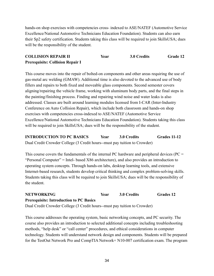hands-on shop exercises with competencies cross- indexed to ASE/NATEF (Automotive Service Excellence/National Automotive Technicians Education Foundation). Students can also earn their Sp2 safety certification. Students taking this class will be required to join SkillsUSA; dues will be the responsibility of the student.

#### **COLLISION REPAIR II Year 3.0 Credits Grade 12 Prerequisite: Collision Repair I**

This course moves into the repair of bolted-on components and other areas requiring the use of gas-metal arc welding (GMAW). Additional time is also devoted to the advanced use of body fillers and repairs to both fixed and moveable glass components. Second semester covers aligning/repairing the vehicle frame, working with aluminum body parts, and the final steps in the painting/finishing process. Finding and repairing wind noise and water leaks is also addressed. Classes are built around learning modules licensed from I-CAR (Inter-Industry Conference on Auto Collision Repair), which include both classroom and hands-on shop exercises with competencies cross-indexed to ASE/NATEF (Automotive Service Excellence/National Automotive Technicians Education Foundation). Students taking this class will be required to join SkillsUSA; dues will be the responsibility of the student.

**INTRODUCTION TO PC BASICS Year 3.0 Credits Grades 11-12** Dual Credit Crowder College (3 Credit hours--must pay tuition to Crowder)

This course covers the fundamentals of the internal PC hardware and peripheral devices ( $PC =$ "Personal Computer" = Intel- based X86 architecture), and also provides an introduction to operating system concepts. Through hands-on labs, desktop learning tools, and extensive Internet-based research, students develop critical thinking and complex problem-solving skills. Students taking this class will be required to join SkillsUSA; dues will be the responsibility of the student.

## **NETWORKING Year 3.0 Credits Grades 12 Prerequisite: Introduction to PC Basics**

Dual Credit Crowder College (3 Credit hours--must pay tuition to Crowder)

This course addresses the operating system, basic networking concepts, and PC security. The course also provides an introduction to selected additional concepts including troubleshooting methods, "help desk" or "call center" procedures, and ethical considerations in computer technology. Students will understand network design and components. Students will be prepared for the TestOut Network Pro and CompTIA Network+ N10-007 certification exam. The program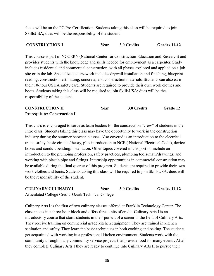focus will be on the PC Pro Certification. Students taking this class will be required to join SkillsUSA; dues will be the responsibility of the student.

#### **CONSTRUCTION I Year 3.0 Credits Grades 11-12**

This course is part of NCCER's (National Center for Construction Education and Research) and provides students with the knowledge and skills needed for employment as a carpenter. Study includes residential and commercial construction, with all phases explored and applied on a job site or in the lab. Specialized coursework includes drywall installation and finishing, blueprint reading, construction estimating, concrete, and construction materials. Students can also earn their 10-hour OSHA safety card. Students are required to provide their own work clothes and boots. Students taking this class will be required to join SkillsUSA; dues will be the responsibility of the student.

| <b>CONSTRUCTION II</b>              | Year | 3.0 Credits | <b>Grade 12</b> |
|-------------------------------------|------|-------------|-----------------|
| <b>Prerequisite: Construction I</b> |      |             |                 |

This class is encouraged to serve as team leaders for the construction "crew" of students in the Intro class. Students taking this class may have the opportunity to work in the construction industry during the summer between classes. Also covered is an introduction to the electrical trade, safety, basic circuits/theory, plus introduction to NCE ( National Electrical Code), device boxes and conduit bending/installation. Other topics covered in this portion include an introduction to the plumbing profession, safety practices, plumbing tools/math/drawings, and working with plastic pipe and fittings. Internship opportunities in commercial construction may be available during the final quarter of this program. Students are required to provide their own work clothes and boots. Students taking this class will be required to join SkillsUSA; dues will be the responsibility of the student.

**CULINARY CULINARY I Year 3.0 Credits Grades 11-12** Articulated College Credit- Ozark Technical College

Culinary Arts I is the first of two culinary classes offered at Franklin Technology Center. The class meets in a three-hour block and offers three units of credit. Culinary Arts I is an introductory course that starts students in their pursuit of a career in the field of Culinary Arts. They receive training on commercial grade kitchen equipment. They are trained in kitchen sanitation and safety. They learn the basic techniques in both cooking and baking. The students get acquainted with working in a professional kitchen environment. Students work with the community through many community service projects that provide food for many events. After they complete Culinary Arts I they are ready to continue into Culinary Arts II to pursue their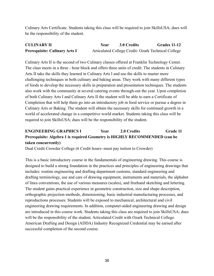Culinary Arts Certificate. Students taking this class will be required to join SkillsUSA; dues will be the responsibility of the student.

| <b>CULINARY II</b>                   | Year | 3.0 Credits | Grades 11-12                                        |
|--------------------------------------|------|-------------|-----------------------------------------------------|
| <b>Prerequisite: Culinary Arts I</b> |      |             | Articulated College Credit- Ozark Technical College |

Culinary Arts II is the second of two Culinary classes offered at Franklin Technology Center. The class meets in a three - hour block and offers three units of credit. The students in Culinary Arts II take the skills they learned in Culinary Arts I and use the skills to master more challenging techniques in both culinary and baking areas. They work with many different types of foods to develop the necessary skills in preparation and presentation techniques. The students also work with the community at several catering events through-out the year. Upon completion of both Culinary Arts I and Culinary Arts II the student will be able to earn a Certificate of Completion that will help them go into an introductory job in food service or pursue a degree in Culinary Arts or Baking. The student will obtain the necessary skills for continued growth in a world of accelerated change in a competitive world market. Students taking this class will be required to join SkillsUSA; dues will be the responsibility of the student.

#### **ENGINEERING GRAPHICS I Year 2.0 Credits Grade 11 Prerequisite: Algebra 1 is required Geometry is HIGHLY RECOMMENDED (can be taken concurrently)**

Dual Credit Crowder College (6 Credit hours--must pay tuition to Crowder)

This is a basic introductory course in the fundamentals of engineering drawing. This course is designed to build a strong foundation in the practices and principles of engineering drawings that includes: routine engineering and drafting department customs, standard engineering and drafting terminology, use and care of drawing equipment, instruments and materials, the alphabet of lines conventions, the use of various measures (scales), and freehand sketching and lettering. The student gains practical experience in geometric construction, size and shape description, orthographic projection methods, dimensioning, basic industrial manufacturing processes, and reproductions processes. Students will be exposed to mechanical, architectural and civil engineering drawing requirements. In addition, computer-aided engineering drawing and design are introduced in this course work. Students taking this class are required to join SkillsUSA; dues will be the responsibility of the student. Articulated Credit with Ozark Technical College. American Drafting and Design (ADDA) Industry Recognized Credential may be earned after successful completion of the second course.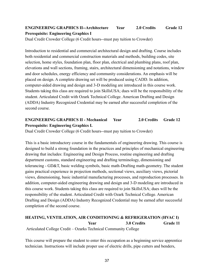### **ENGINEERING GRAPHICS II--Architecture Year 2.0 Credits Grade 12 Prerequisite: Engineering Graphics I**

Dual Credit Crowder College (6 Credit hours--must pay tuition to Crowder)

Introduction to residential and commercial architectural design and drafting. Course includes both residential and commercial construction materials and methods, building codes, site selection, home styles, foundation plan, floor plan, electrical and plumbing plans, roof plan, elevations and wall sections, framing, stairs, architectural dimensioning and notations, window and door schedules, energy efficiency and community considerations. An emphasis will be placed on design. A complete drawing set will be produced using CADD. In addition, computer-aided drawing and design and 3-D modeling are introduced in this course work. Students taking this class are required to join SkillsUSA; dues will be the responsibility of the student. Articulated Credit with Ozark Technical College. American Drafting and Design (ADDA) Industry Recognized Credential may be earned after successful completion of the second course.

#### **ENGINEERING GRAPHICS II - Mechanical Year 2.0 Credits Grade 12 Prerequisite: Engineering Graphics I.**

Dual Credit Crowder College (6 Credit hours--must pay tuition to Crowder)

This is a basic introductory course in the fundamentals of engineering drawing. This course is designed to build a strong foundation in the practices and principles of mechanical engineering drawing that includes: Engineering and Design Process, routine engineering and drafting department customs, standard engineering and drafting terminology, dimensioning and tolerancing - GD&T, basic welding symbols, basic math-Drafting math-geometry. The student gains practical experience in projection methods, sectional views, auxiliary views, pictorial views, dimensioning, basic industrial manufacturing processes, and reproduction processes. In addition, computer-aided engineering drawing and design and 3-D modeling are introduced in this course work. Students taking this class are required to join SkillsUSA; dues will be the responsibility of the student. Articulated Credit with Ozark Technical College. American Drafting and Design (ADDA) Industry Recognized Credential may be earned after successful completion of the second course.

#### **HEATING, VENTILATION, AIR CONDITIONING & REFRIGERATION (HVAC I) Year 3.0 Credits Grade 11** Articulated College Credit – Ozarks Technical Community College

This course will prepare the student to enter this occupation as a beginning service apprentice technician. Instructions will include proper use of electric drills, pipe cutters and benders,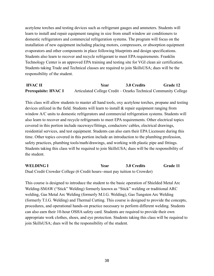acetylene torches and testing devices such as refrigerant gauges and ammeters. Students will learn to install and repair equipment ranging in size from small window air conditioners to domestic refrigerators and commercial refrigeration systems. The program will focus on the installation of new equipment including placing motors, compressors, or absorption equipment evaporators and other components in place following blueprints and design specifications. Students also learn to recover and recycle refrigerant to meet EPA requirements. Franklin Technology Center is an approved EPA training and testing site for VGI clean air certification. Students taking Trade and Technical classes are required to join SkillsUSA; dues will be the responsibility of the student.

**HVAC II Year 3.0 Credits Grade 12 Prerequisite: HVAC I** Articulated College Credit – Ozarks Technical Community College

This class will allow students to master all hand tools, oxy acetylene torches, propane and testing devices utilized in the field. Students will learn to install & repair equipment ranging from window A/C units to domestic refrigerators and commercial refrigeration systems. Students will also learn to recover and recycle refrigerants to meet EPA requirements. Other electrical topics covered in this portion include raceways/fittings, conductors/ cables, electrical drawings, residential services, and test equipment. Students can also earn their EPA Licensure during this time. Other topics covered in this portion include an introduction to the plumbing profession, safety practices, plumbing tools/math/drawings, and working with plastic pipe and fittings. Students taking this class will be required to join SkillsUSA; dues will be the responsibility of the student.

**WELDING I Year 3.0 Credits Grade 11** Dual Credit Crowder College (6 Credit hours--must pay tuition to Crowder)

This course is designed to introduce the student to the basic operation of Shielded Metal Arc Welding-SMAW ("Stick" Welding) formerly known as "Stick" welding or traditional ARC welding, Gas Metal Arc Welding (formerly M.I.G. Welding), Gas Tungsten Arc Welding (formerly T.I.G. Welding) and Thermal Cutting. This course is designed to provide the concepts, procedures, and operational hands-on practice necessary to perform different welding. Students can also earn their 10-hour OSHA safety card. Students are required to provide their own appropriate work clothes, shoes, and eye protection. Students taking this class will be required to join SkillsUSA; dues will be the responsibility of the student.